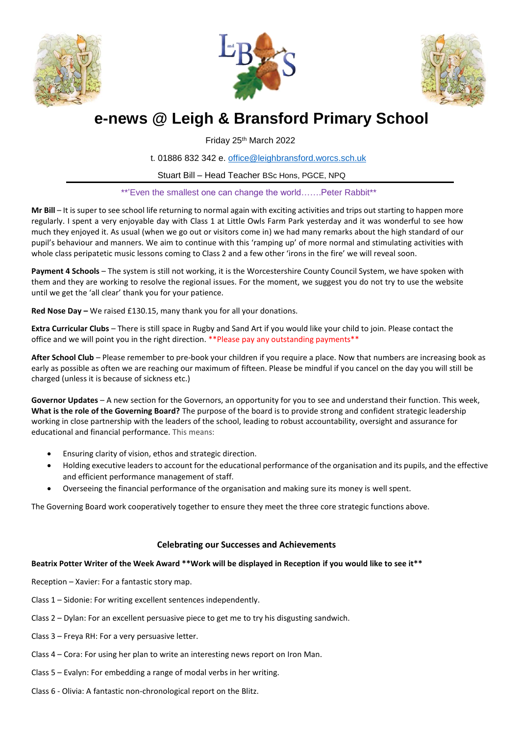





# **e-news @ Leigh & Bransford Primary School**

Friday 25th March 2022

t. 01886 832 342 e. [office@leighbransford.worcs.sch.uk](mailto:office@leighbransford.worcs.sch.uk)

Stuart Bill – Head Teacher BSc Hons, PGCE, NPQ

\*\*'Even the smallest one can change the world…….Peter Rabbit\*\*

**Mr Bill** – It is super to see school life returning to normal again with exciting activities and trips out starting to happen more regularly. I spent a very enjoyable day with Class 1 at Little Owls Farm Park yesterday and it was wonderful to see how much they enjoyed it. As usual (when we go out or visitors come in) we had many remarks about the high standard of our pupil's behaviour and manners. We aim to continue with this 'ramping up' of more normal and stimulating activities with whole class peripatetic music lessons coming to Class 2 and a few other 'irons in the fire' we will reveal soon.

**Payment 4 Schools** – The system is still not working, it is the Worcestershire County Council System, we have spoken with them and they are working to resolve the regional issues. For the moment, we suggest you do not try to use the website until we get the 'all clear' thank you for your patience.

**Red Nose Day –** We raised £130.15, many thank you for all your donations.

**Extra Curricular Clubs** – There is still space in Rugby and Sand Art if you would like your child to join. Please contact the office and we will point you in the right direction. \*\*Please pay any outstanding payments\*\*

**After School Club** – Please remember to pre-book your children if you require a place. Now that numbers are increasing book as early as possible as often we are reaching our maximum of fifteen. Please be mindful if you cancel on the day you will still be charged (unless it is because of sickness etc.)

**Governor Updates** – A new section for the Governors, an opportunity for you to see and understand their function. This week, **What is the role of the Governing Board?** The purpose of the board is to provide strong and confident strategic leadership working in close partnership with the leaders of the school, leading to robust accountability, oversight and assurance for educational and financial performance. This means:

- Ensuring clarity of vision, ethos and strategic direction.
- Holding executive leaders to account for the educational performance of the organisation and its pupils, and the effective and efficient performance management of staff.
- Overseeing the financial performance of the organisation and making sure its money is well spent.

The Governing Board work cooperatively together to ensure they meet the three core strategic functions above.

## **Celebrating our Successes and Achievements**

## **Beatrix Potter Writer of the Week Award \*\*Work will be displayed in Reception if you would like to see it\*\***

Reception – Xavier: For a fantastic story map.

Class 1 – Sidonie: For writing excellent sentences independently.

- Class 2 Dylan: For an excellent persuasive piece to get me to try his disgusting sandwich.
- Class 3 Freya RH: For a very persuasive letter.
- Class 4 Cora: For using her plan to write an interesting news report on Iron Man.
- Class 5 Evalyn: For embedding a range of modal verbs in her writing.
- Class 6 Olivia: A fantastic non-chronological report on the Blitz.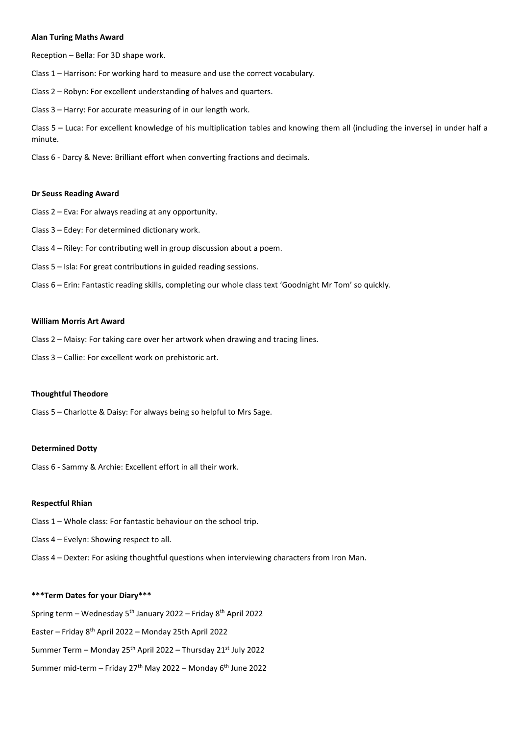#### **Alan Turing Maths Award**

Reception – Bella: For 3D shape work.

Class 1 – Harrison: For working hard to measure and use the correct vocabulary.

Class 2 – Robyn: For excellent understanding of halves and quarters.

Class 3 – Harry: For accurate measuring of in our length work.

Class 5 – Luca: For excellent knowledge of his multiplication tables and knowing them all (including the inverse) in under half a minute.

Class 6 - Darcy & Neve: Brilliant effort when converting fractions and decimals.

#### **Dr Seuss Reading Award**

Class 2 – Eva: For always reading at any opportunity.

- Class 3 Edey: For determined dictionary work.
- Class 4 Riley: For contributing well in group discussion about a poem.
- Class 5 Isla: For great contributions in guided reading sessions.
- Class 6 Erin: Fantastic reading skills, completing our whole class text 'Goodnight Mr Tom' so quickly.

### **William Morris Art Award**

- Class 2 Maisy: For taking care over her artwork when drawing and tracing lines.
- Class 3 Callie: For excellent work on prehistoric art.

#### **Thoughtful Theodore**

Class 5 – Charlotte & Daisy: For always being so helpful to Mrs Sage.

#### **Determined Dotty**

Class 6 - Sammy & Archie: Excellent effort in all their work.

#### **Respectful Rhian**

Class 1 – Whole class: For fantastic behaviour on the school trip.

Class 4 – Evelyn: Showing respect to all.

Class 4 – Dexter: For asking thoughtful questions when interviewing characters from Iron Man.

#### **\*\*\*Term Dates for your Diary\*\*\***

Spring term – Wednesday  $5<sup>th</sup>$  January 2022 – Friday  $8<sup>th</sup>$  April 2022

Easter – Friday 8th April 2022 – Monday 25th April 2022

Summer Term – Monday 25<sup>th</sup> April 2022 – Thursday 21<sup>st</sup> July 2022

Summer mid-term – Friday 27<sup>th</sup> May 2022 – Monday  $6<sup>th</sup>$  June 2022